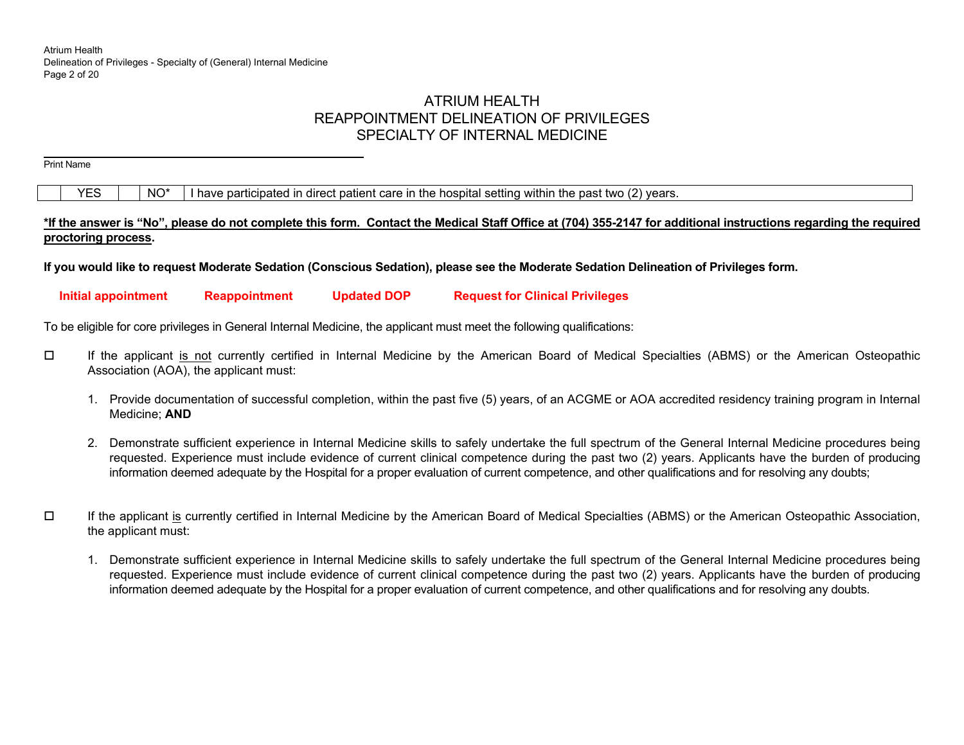# ATRIUM HEALTH REAPPOINTMENT DELINEATION OF PRIVILEGES SPECIALTY OF INTERNAL MEDICINE

| <b>Print Name</b> |                 |                                                                                                   |
|-------------------|-----------------|---------------------------------------------------------------------------------------------------|
| <b>YES</b>        | NO <sup>*</sup> | I have participated in direct patient care in the hospital setting within the past two (2) years. |
|                   |                 |                                                                                                   |

## **\*If the answer is "No", please do not complete this form. Contact the Medical Staff Office at (704) 355-2147 for additional instructions regarding the required proctoring process.**

**If you would like to request Moderate Sedation (Conscious Sedation), please see the Moderate Sedation Delineation of Privileges form.** 

 **Initial appointment Reappointment Updated DOP Request for Clinical Privileges** 

To be eligible for core privileges in General Internal Medicine, the applicant must meet the following qualifications:

- If the applicant is not currently certified in Internal Medicine by the American Board of Medical Specialties (ABMS) or the American Osteopathic Association (AOA), the applicant must:
	- 1. Provide documentation of successful completion, within the past five (5) years, of an ACGME or AOA accredited residency training program in Internal Medicine; **AND**
	- 2. Demonstrate sufficient experience in Internal Medicine skills to safely undertake the full spectrum of the General Internal Medicine procedures being requested. Experience must include evidence of current clinical competence during the past two (2) years. Applicants have the burden of producing information deemed adequate by the Hospital for a proper evaluation of current competence, and other qualifications and for resolving any doubts;
- $\Box$  If the applicant is currently certified in Internal Medicine by the American Board of Medical Specialties (ABMS) or the American Osteopathic Association, the applicant must:
	- 1. Demonstrate sufficient experience in Internal Medicine skills to safely undertake the full spectrum of the General Internal Medicine procedures being requested. Experience must include evidence of current clinical competence during the past two (2) years. Applicants have the burden of producing information deemed adequate by the Hospital for a proper evaluation of current competence, and other qualifications and for resolving any doubts.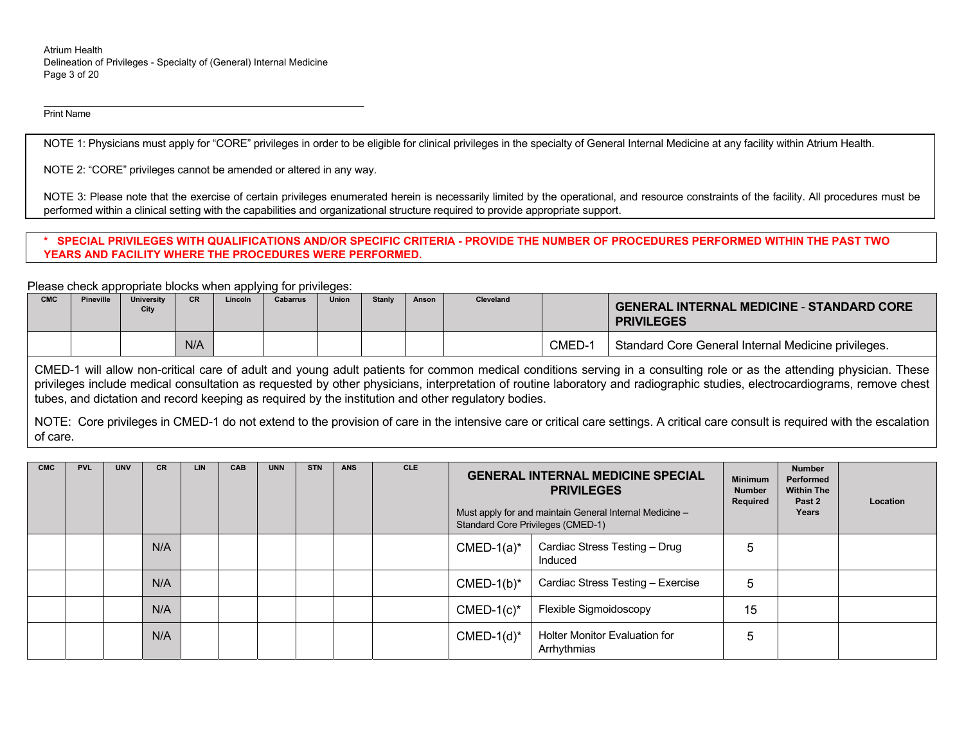Atrium Health Delineation of Privileges - Specialty of (General) Internal Medicine Page 3 of 20

#### Print Name

NOTE 1: Physicians must apply for "CORE" privileges in order to be eligible for clinical privileges in the specialty of General Internal Medicine at any facility within Atrium Health.

NOTE 2: "CORE" privileges cannot be amended or altered in any way.

NOTE 3: Please note that the exercise of certain privileges enumerated herein is necessarily limited by the operational, and resource constraints of the facility. All procedures must be performed within a clinical setting with the capabilities and organizational structure required to provide appropriate support.

## **\* SPECIAL PRIVILEGES WITH QUALIFICATIONS AND/OR SPECIFIC CRITERIA - PROVIDE THE NUMBER OF PROCEDURES PERFORMED WITHIN THE PAST TWO YEARS AND FACILITY WHERE THE PROCEDURES WERE PERFORMED.**

Please check appropriate blocks when applying for privileges:

| <b>CMC</b> | Pineville | <b>University</b><br>City | <b>CR</b> | ____<br>Lincoln | <b>Cabarrus</b> | <b>Union</b> | <b>Stanly</b> | Anson | Cleveland |       | <b>GENERAL INTERNAL MEDICINE - STANDARD CORE</b><br><b>PRIVILEGES</b> |
|------------|-----------|---------------------------|-----------|-----------------|-----------------|--------------|---------------|-------|-----------|-------|-----------------------------------------------------------------------|
|            |           |                           | N/A       |                 |                 |              |               |       |           | CMED- | Standard Core General Internal Medicine privileges.                   |

CMED-1 will allow non-critical care of adult and young adult patients for common medical conditions serving in a consulting role or as the attending physician. These privileges include medical consultation as requested by other physicians, interpretation of routine laboratory and radiographic studies, electrocardiograms, remove chest tubes, and dictation and record keeping as required by the institution and other regulatory bodies.

NOTE: Core privileges in CMED-1 do not extend to the provision of care in the intensive care or critical care settings. A critical care consult is required with the escalation of care.

| <b>CMC</b> | <b>PVL</b> | <b>UNV</b> | <b>CR</b> | <b>LIN</b> | CAB | <b>UNN</b> | <b>STN</b> | <b>ANS</b> | <b>CLE</b> |               | <b>GENERAL INTERNAL MEDICINE SPECIAL</b><br><b>PRIVILEGES</b><br>Must apply for and maintain General Internal Medicine -<br>Standard Core Privileges (CMED-1) | <b>Minimum</b><br><b>Number</b><br>Required | <b>Number</b><br>Performed<br><b>Within The</b><br>Past 2<br>Years | Location |
|------------|------------|------------|-----------|------------|-----|------------|------------|------------|------------|---------------|---------------------------------------------------------------------------------------------------------------------------------------------------------------|---------------------------------------------|--------------------------------------------------------------------|----------|
|            |            |            | N/A       |            |     |            |            |            |            | $CMED-1(a)^*$ | Cardiac Stress Testing - Drug<br>Induced                                                                                                                      | 5                                           |                                                                    |          |
|            |            |            | N/A       |            |     |            |            |            |            | $CMED-1(b)^*$ | Cardiac Stress Testing - Exercise                                                                                                                             | 5                                           |                                                                    |          |
|            |            |            | N/A       |            |     |            |            |            |            | $CMED-1(c)*$  | Flexible Sigmoidoscopy                                                                                                                                        | 15                                          |                                                                    |          |
|            |            |            | N/A       |            |     |            |            |            |            | $CMED-1(d)^*$ | <b>Holter Monitor Evaluation for</b><br>Arrhythmias                                                                                                           | 5                                           |                                                                    |          |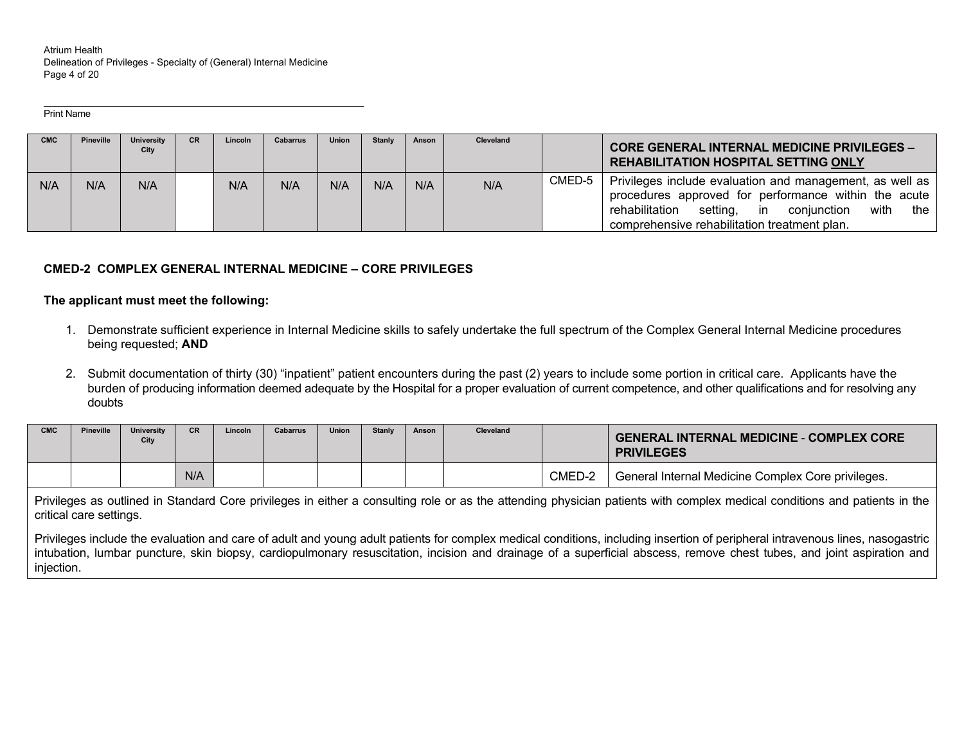Atrium Health Delineation of Privileges - Specialty of (General) Internal Medicine Page 4 of 20

Print Name

| <b>CMC</b> | <b>Pineville</b> | <b>University</b><br>City | <b>CR</b> | Lincoln | Cabarrus | <b>Union</b> | <b>Stanly</b> | Anson | Cleveland |        | <b>CORE GENERAL INTERNAL MEDICINE PRIVILEGES -</b><br><b>REHABILITATION HOSPITAL SETTING ONLY</b>                                                                                                                                  |
|------------|------------------|---------------------------|-----------|---------|----------|--------------|---------------|-------|-----------|--------|------------------------------------------------------------------------------------------------------------------------------------------------------------------------------------------------------------------------------------|
| N/A        | N/A              | N/A                       |           | N/A     | N/A      | N/A          | N/A           | N/A   | N/A       | CMED-5 | Privileges include evaluation and management, as well as<br>procedures approved for performance within the acute<br>with<br>rehabilitation<br>conjunction<br>setting,<br>the<br>in<br>comprehensive rehabilitation treatment plan. |

## **CMED-2 COMPLEX GENERAL INTERNAL MEDICINE – CORE PRIVILEGES**

## **The applicant must meet the following:**

- 1. Demonstrate sufficient experience in Internal Medicine skills to safely undertake the full spectrum of the Complex General Internal Medicine procedures being requested; **AND**
- 2. Submit documentation of thirty (30) "inpatient" patient encounters during the past (2) years to include some portion in critical care. Applicants have the burden of producing information deemed adequate by the Hospital for a proper evaluation of current competence, and other qualifications and for resolving any doubts

| <b>CMC</b> | Pineville | <b>University</b><br>City | <b>CR</b> | Lincoln | <b>Cabarrus</b> | <b>Union</b> | Stanly | Anson | <b>Cleveland</b> |        | <b>GENERAL INTERNAL MEDICINE - COMPLEX CORE</b><br><b>PRIVILEGES</b> |
|------------|-----------|---------------------------|-----------|---------|-----------------|--------------|--------|-------|------------------|--------|----------------------------------------------------------------------|
|            |           |                           | N/A       |         |                 |              |        |       |                  | CMED-2 | General Internal Medicine Complex Core privileges.                   |

Privileges as outlined in Standard Core privileges in either a consulting role or as the attending physician patients with complex medical conditions and patients in the critical care settings.

Privileges include the evaluation and care of adult and young adult patients for complex medical conditions, including insertion of peripheral intravenous lines, nasogastric intubation, lumbar puncture, skin biopsy, cardiopulmonary resuscitation, incision and drainage of a superficial abscess, remove chest tubes, and joint aspiration and injection.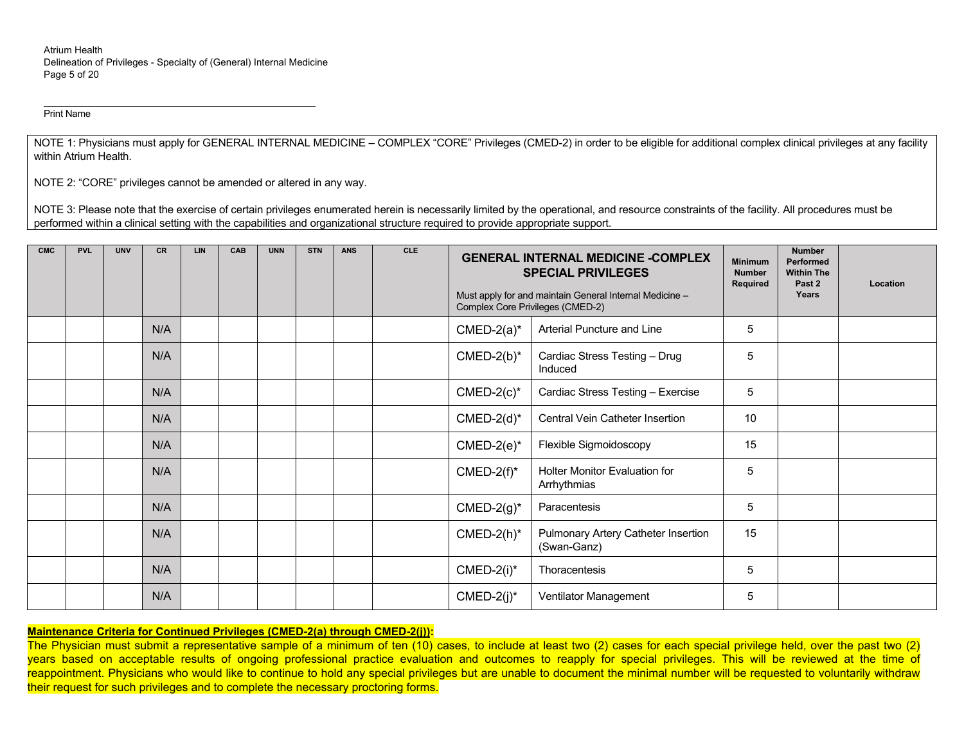Atrium Health Delineation of Privileges - Specialty of (General) Internal Medicine Page 5 of 20

Print Name

NOTE 1: Physicians must apply for GENERAL INTERNAL MEDICINE – COMPLEX "CORE" Privileges (CMED-2) in order to be eligible for additional complex clinical privileges at any facility within Atrium Health.

NOTE 2: "CORE" privileges cannot be amended or altered in any way.

NOTE 3: Please note that the exercise of certain privileges enumerated herein is necessarily limited by the operational, and resource constraints of the facility. All procedures must be performed within a clinical setting with the capabilities and organizational structure required to provide appropriate support.

| <b>CMC</b> | <b>PVL</b> | <b>UNV</b> | <b>CR</b> | <b>LIN</b> | CAB | <b>UNN</b> | <b>STN</b> | <b>ANS</b> | <b>CLE</b> |               | <b>GENERAL INTERNAL MEDICINE -COMPLEX</b><br><b>SPECIAL PRIVILEGES</b><br>Must apply for and maintain General Internal Medicine -<br>Complex Core Privileges (CMED-2) | <b>Minimum</b><br><b>Number</b><br>Required | <b>Number</b><br>Performed<br><b>Within The</b><br>Past 2<br>Years | Location |
|------------|------------|------------|-----------|------------|-----|------------|------------|------------|------------|---------------|-----------------------------------------------------------------------------------------------------------------------------------------------------------------------|---------------------------------------------|--------------------------------------------------------------------|----------|
|            |            |            | N/A       |            |     |            |            |            |            | $CMED-2(a)^*$ | Arterial Puncture and Line                                                                                                                                            | 5                                           |                                                                    |          |
|            |            |            | N/A       |            |     |            |            |            |            | $CMED-2(b)*$  | Cardiac Stress Testing - Drug<br>Induced                                                                                                                              | 5                                           |                                                                    |          |
|            |            |            | N/A       |            |     |            |            |            |            | $CMED-2(c)*$  | Cardiac Stress Testing - Exercise                                                                                                                                     | 5                                           |                                                                    |          |
|            |            |            | N/A       |            |     |            |            |            |            | $CMED-2(d)^*$ | Central Vein Catheter Insertion                                                                                                                                       | 10                                          |                                                                    |          |
|            |            |            | N/A       |            |     |            |            |            |            | $CMED-2(e)^*$ | Flexible Sigmoidoscopy                                                                                                                                                | 15                                          |                                                                    |          |
|            |            |            | N/A       |            |     |            |            |            |            | $CMED-2(f)^*$ | Holter Monitor Evaluation for<br>Arrhythmias                                                                                                                          | 5                                           |                                                                    |          |
|            |            |            | N/A       |            |     |            |            |            |            | $CMED-2(g)^*$ | Paracentesis                                                                                                                                                          | 5                                           |                                                                    |          |
|            |            |            | N/A       |            |     |            |            |            |            | $CMED-2(h)^*$ | Pulmonary Artery Catheter Insertion<br>(Swan-Ganz)                                                                                                                    | 15                                          |                                                                    |          |
|            |            |            | N/A       |            |     |            |            |            |            | $CMED-2(i)^*$ | Thoracentesis                                                                                                                                                         | 5                                           |                                                                    |          |
|            |            |            | N/A       |            |     |            |            |            |            | $CMED-2(j)^*$ | Ventilator Management                                                                                                                                                 | $\overline{5}$                              |                                                                    |          |

## **Maintenance Criteria for Continued Privileges (CMED-2(a) through CMED-2(j)):**

The Physician must submit a representative sample of a minimum of ten (10) cases, to include at least two (2) cases for each special privilege held, over the past two (2) years based on acceptable results of ongoing professional practice evaluation and outcomes to reapply for special privileges. This will be reviewed at the time of reappointment. Physicians who would like to continue to hold any special privileges but are unable to document the minimal number will be requested to voluntarily withdraw their request for such privileges and to complete the necessary proctoring forms.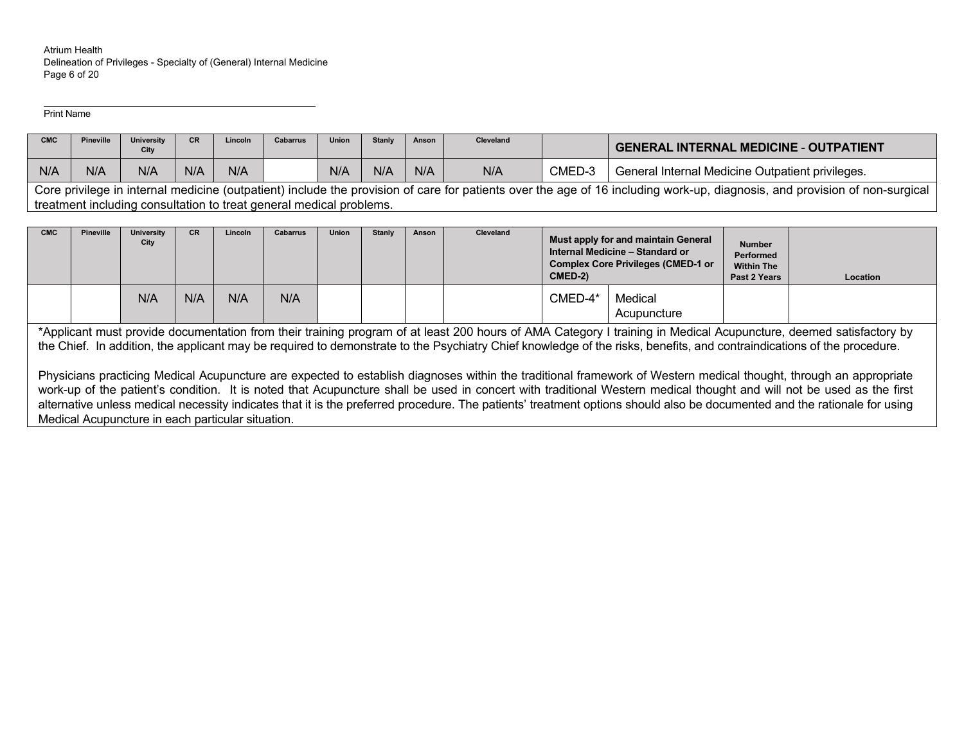#### Atrium Health Delineation of Privileges - Specialty of (General) Internal Medicine Page 6 of 20

#### Print Name

| <b>CMC</b> | Pineville | Jniversitv<br>City | <b>CR</b> | Lincoln | <b>Cabarrus</b> | <b>Union</b> | <b>Stanly</b> | Anson | Cleveland |        | <b>GENERAL INTERNAL MEDICINE - OUTPATIENT</b>    |
|------------|-----------|--------------------|-----------|---------|-----------------|--------------|---------------|-------|-----------|--------|--------------------------------------------------|
| N/A        | N/A       | N/A                | N/A       | N/A     |                 | N/A          | N/L           | N/A   | N/A       | CMED-3 | General Internal Medicine Outpatient privileges. |

Core privilege in internal medicine (outpatient) include the provision of care for patients over the age of 16 including work-up, diagnosis, and provision of non-surgical treatment including consultation to treat general medical problems.

| <b>CMC</b> | Pineville | University<br>City | <b>CR</b> | Lincoln | <b>Cabarrus</b> | <b>Union</b> | <b>Stanly</b> | Anson | Cleveland | CMED-2) | Must apply for and maintain General<br>Internal Medicine - Standard or<br><b>Complex Core Privileges (CMED-1 or</b> | <b>Number</b><br>Performed<br><b>Within The</b><br>Past 2 Years | Location |
|------------|-----------|--------------------|-----------|---------|-----------------|--------------|---------------|-------|-----------|---------|---------------------------------------------------------------------------------------------------------------------|-----------------------------------------------------------------|----------|
|            |           | N/A                | N/A       | N/A     | N/A             |              |               |       |           | CMED-4* | Medical<br>Acupuncture                                                                                              |                                                                 |          |

\*Applicant must provide documentation from their training program of at least 200 hours of AMA Category I training in Medical Acupuncture, deemed satisfactory by the Chief. In addition, the applicant may be required to demonstrate to the Psychiatry Chief knowledge of the risks, benefits, and contraindications of the procedure.

Physicians practicing Medical Acupuncture are expected to establish diagnoses within the traditional framework of Western medical thought, through an appropriate work-up of the patient's condition. It is noted that Acupuncture shall be used in concert with traditional Western medical thought and will not be used as the first alternative unless medical necessity indicates that it is the preferred procedure. The patients' treatment options should also be documented and the rationale for using Medical Acupuncture in each particular situation.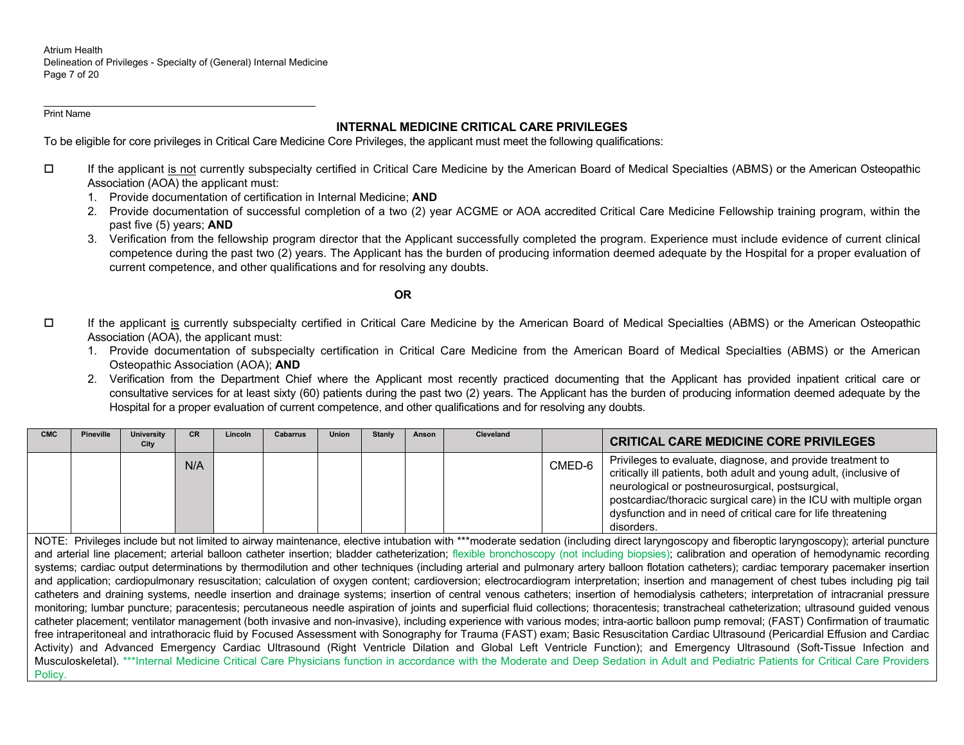Atrium Health Delineation of Privileges - Specialty of (General) Internal Medicine Page 7 of 20

#### Print Name

## **INTERNAL MEDICINE CRITICAL CARE PRIVILEGES**

To be eligible for core privileges in Critical Care Medicine Core Privileges, the applicant must meet the following qualifications:

- If the applicant is not currently subspecialty certified in Critical Care Medicine by the American Board of Medical Specialties (ABMS) or the American Osteopathic Association (AOA) the applicant must:
	- 1. Provide documentation of certification in Internal Medicine; **AND**
	- 2. Provide documentation of successful completion of a two (2) year ACGME or AOA accredited Critical Care Medicine Fellowship training program, within the past five (5) years; **AND**
	- 3. Verification from the fellowship program director that the Applicant successfully completed the program. Experience must include evidence of current clinical competence during the past two (2) years. The Applicant has the burden of producing information deemed adequate by the Hospital for a proper evaluation of current competence, and other qualifications and for resolving any doubts.

## **OR**

- $\Box$  If the applicant is currently subspecialty certified in Critical Care Medicine by the American Board of Medical Specialties (ABMS) or the American Osteopathic Association (AOA), the applicant must:
	- 1. Provide documentation of subspecialty certification in Critical Care Medicine from the American Board of Medical Specialties (ABMS) or the American Osteopathic Association (AOA); **AND**
	- 2. Verification from the Department Chief where the Applicant most recently practiced documenting that the Applicant has provided inpatient critical care or consultative services for at least sixty (60) patients during the past two (2) years. The Applicant has the burden of producing information deemed adequate by the Hospital for a proper evaluation of current competence, and other qualifications and for resolving any doubts.

| <b>CMC</b> | <b>Pineville</b> | <b>University</b><br>City | <b>CR</b> | <b>Lincoln</b> | <b>Cabarrus</b> | <b>Union</b> | <b>Stanly</b> | Anson | Cleveland |        | <b>CRITICAL CARE MEDICINE CORE PRIVILEGES</b>                                                                                                                                                                                                                                                                                             |
|------------|------------------|---------------------------|-----------|----------------|-----------------|--------------|---------------|-------|-----------|--------|-------------------------------------------------------------------------------------------------------------------------------------------------------------------------------------------------------------------------------------------------------------------------------------------------------------------------------------------|
|            |                  |                           | N/A       |                |                 |              |               |       |           | CMED-6 | Privileges to evaluate, diagnose, and provide treatment to<br>critically ill patients, both adult and young adult, (inclusive of<br>neurological or postneurosurgical, postsurgical,<br>postcardiac/thoracic surgical care) in the ICU with multiple organ<br>dysfunction and in need of critical care for life threatening<br>disorders. |

NOTE: Privileges include but not limited to airway maintenance, elective intubation with \*\*\*moderate sedation (including direct laryngoscopy and fiberoptic laryngoscopy); arterial puncture and arterial line placement; arterial balloon catheter insertion; bladder catheterization; flexible bronchoscopy (not including biopsies); calibration and operation of hemodynamic recording systems; cardiac output determinations by thermodilution and other techniques (including arterial and pulmonary artery balloon flotation catheters); cardiac temporary pacemaker insertion and application; cardiopulmonary resuscitation; calculation of oxygen content; cardioversion; electrocardiogram interpretation; insertion and management of chest tubes including pig tail catheters and draining systems, needle insertion and drainage systems; insertion of central venous catheters; insertion of hemodialysis catheters; interpretation of intracranial pressure monitoring; lumbar puncture; paracentesis; percutaneous needle aspiration of joints and superficial fluid collections; thoracentesis; transtracheal catheterization; ultrasound guided venous catheter placement; ventilator management (both invasive and non-invasive), including experience with various modes; intra-aortic balloon pump removal; (FAST) Confirmation of traumatic free intraperitoneal and intrathoracic fluid by Focused Assessment with Sonography for Trauma (FAST) exam; Basic Resuscitation Cardiac Ultrasound (Pericardial Effusion and Cardiac Activity) and Advanced Emergency Cardiac Ultrasound (Right Ventricle Dilation and Global Left Ventricle Function); and Emergency Ultrasound (Soft-Tissue Infection and Musculoskeletal). \*\*\*Internal Medicine Critical Care Physicians function in accordance with the Moderate and Deep Sedation in Adult and Pediatric Patients for Critical Care Providers Policy.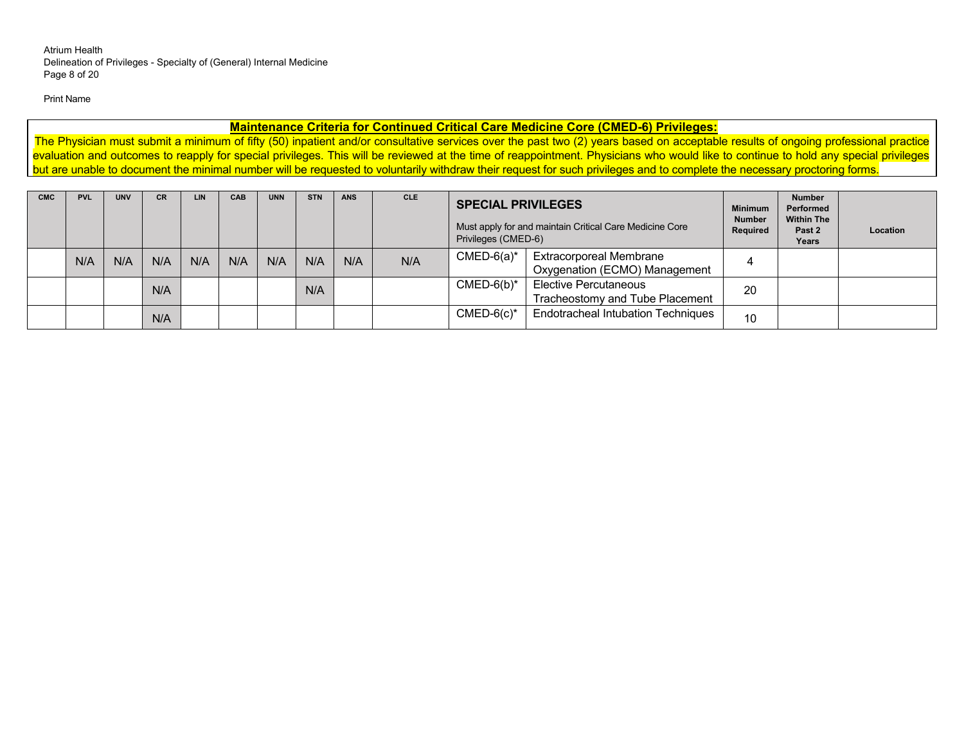Atrium Health Delineation of Privileges - Specialty of (General) Internal Medicine Page 8 of 20

Print Name

## **Maintenance Criteria for Continued Critical Care Medicine Core (CMED-6) Privileges:**

The Physician must submit a minimum of fifty (50) inpatient and/or consultative services over the past two (2) years based on acceptable results of ongoing professional practice evaluation and outcomes to reapply for special privileges. This will be reviewed at the time of reappointment. Physicians who would like to continue to hold any special privileges but are unable to document the minimal number will be requested to voluntarily withdraw their request for such privileges and to complete the necessary proctoring forms.

| <b>CMC</b> | <b>PVL</b> | <b>UNV</b> | CR. | <b>LIN</b> | <b>CAB</b> | <b>UNN</b> | <b>STN</b> | <b>ANS</b> | <b>CLE</b> | <b>SPECIAL PRIVILEGES</b><br>Privileges (CMED-6) | Must apply for and maintain Critical Care Medicine Core         | <b>Minimum</b><br><b>Number</b><br>Required | <b>Number</b><br>Performed<br><b>Within The</b><br>Past 2<br>Years | Location |
|------------|------------|------------|-----|------------|------------|------------|------------|------------|------------|--------------------------------------------------|-----------------------------------------------------------------|---------------------------------------------|--------------------------------------------------------------------|----------|
|            | N/A        | N/A        | N/A | N/A        | N/A        | N/A        | N/A        | N/A        | N/A        | $CMED-6(a)^*$                                    | <b>Extracorporeal Membrane</b><br>Oxygenation (ECMO) Management |                                             |                                                                    |          |
|            |            |            | N/A |            |            |            | N/A        |            |            | $CMED-6(b)^*$                                    | <b>Elective Percutaneous</b><br>Tracheostomy and Tube Placement | 20                                          |                                                                    |          |
|            |            |            | N/A |            |            |            |            |            |            | $CMED-6(c)*$                                     | <b>Endotracheal Intubation Techniques</b>                       | 10                                          |                                                                    |          |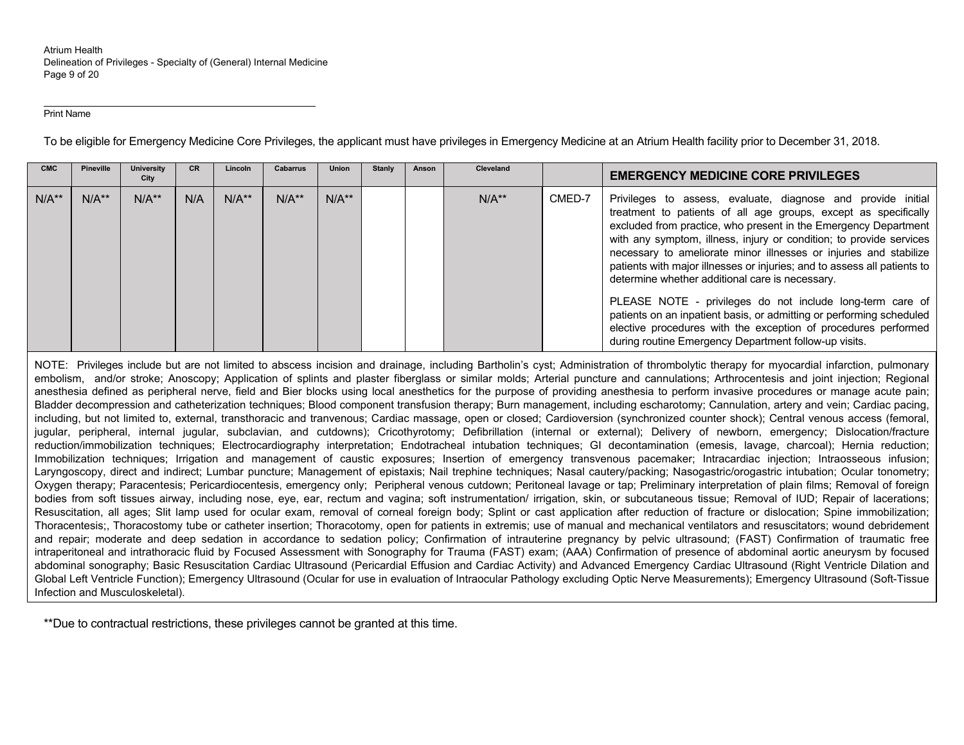Atrium Health Delineation of Privileges - Specialty of (General) Internal Medicine Page 9 of 20

#### Print Name

To be eligible for Emergency Medicine Core Privileges, the applicant must have privileges in Emergency Medicine at an Atrium Health facility prior to December 31, 2018.

| <b>CMC</b> | <b>Pineville</b> | <b>University</b><br>City | <b>CR</b> | <b>Lincoln</b> | <b>Cabarrus</b> | Union   | <b>Stanly</b> | Anson | Cleveland |        | <b>EMERGENCY MEDICINE CORE PRIVILEGES</b>                                                                                                                                                                                                                                                                                                                                                                                                                                                                                                                                                                                                                                                                                                     |
|------------|------------------|---------------------------|-----------|----------------|-----------------|---------|---------------|-------|-----------|--------|-----------------------------------------------------------------------------------------------------------------------------------------------------------------------------------------------------------------------------------------------------------------------------------------------------------------------------------------------------------------------------------------------------------------------------------------------------------------------------------------------------------------------------------------------------------------------------------------------------------------------------------------------------------------------------------------------------------------------------------------------|
| $N/A**$    | $N/A**$          | $N/A**$                   | N/A       | $N/A**$        | $N/A**$         | $N/A**$ |               |       | $N/A**$   | CMED-7 | Privileges to assess, evaluate, diagnose and provide initial<br>treatment to patients of all age groups, except as specifically<br>excluded from practice, who present in the Emergency Department<br>with any symptom, illness, injury or condition; to provide services<br>necessary to ameliorate minor illnesses or injuries and stabilize<br>patients with major illnesses or injuries; and to assess all patients to<br>determine whether additional care is necessary.<br>PLEASE NOTE - privileges do not include long-term care of<br>patients on an inpatient basis, or admitting or performing scheduled<br>elective procedures with the exception of procedures performed<br>during routine Emergency Department follow-up visits. |

NOTE: Privileges include but are not limited to abscess incision and drainage, including Bartholin's cyst; Administration of thrombolytic therapy for myocardial infarction, pulmonary embolism, and/or stroke; Anoscopy; Application of splints and plaster fiberglass or similar molds; Arterial puncture and cannulations; Arthrocentesis and joint injection; Regional anesthesia defined as peripheral nerve, field and Bier blocks using local anesthetics for the purpose of providing anesthesia to perform invasive procedures or manage acute pain; Bladder decompression and catheterization techniques; Blood component transfusion therapy; Burn management, including escharotomy; Cannulation, artery and vein; Cardiac pacing, including, but not limited to, external, transthoracic and tranvenous; Cardiac massage, open or closed; Cardioversion (synchronized counter shock); Central venous access (femoral, jugular, peripheral, internal jugular, subclavian, and cutdowns); Cricothyrotomy; Defibrillation (internal or external); Delivery of newborn, emergency; Dislocation/fracture reduction/immobilization techniques; Electrocardiography interpretation; Endotracheal intubation techniques; GI decontamination (emesis, lavage, charcoal); Hernia reduction; Immobilization techniques; Irrigation and management of caustic exposures; Insertion of emergency transvenous pacemaker; Intracardiac injection; Intraosseous infusion; Laryngoscopy, direct and indirect; Lumbar puncture; Management of epistaxis; Nail trephine techniques; Nasal cautery/packing; Nasogastric/orogastric intubation; Ocular tonometry; Oxygen therapy; Paracentesis; Pericardiocentesis, emergency only; Peripheral venous cutdown; Peritoneal lavage or tap; Preliminary interpretation of plain films; Removal of foreign bodies from soft tissues airway, including nose, eye, ear, rectum and vagina; soft instrumentation/ irrigation, skin, or subcutaneous tissue; Removal of IUD; Repair of lacerations; Resuscitation, all ages; Slit lamp used for ocular exam, removal of corneal foreign body; Splint or cast application after reduction of fracture or dislocation; Spine immobilization; Thoracentesis;, Thoracostomy tube or catheter insertion; Thoracotomy, open for patients in extremis; use of manual and mechanical ventilators and resuscitators; wound debridement and repair; moderate and deep sedation in accordance to sedation policy; Confirmation of intrauterine pregnancy by pelvic ultrasound; (FAST) Confirmation of traumatic free intraperitoneal and intrathoracic fluid by Focused Assessment with Sonography for Trauma (FAST) exam; (AAA) Confirmation of presence of abdominal aortic aneurysm by focused abdominal sonography; Basic Resuscitation Cardiac Ultrasound (Pericardial Effusion and Cardiac Activity) and Advanced Emergency Cardiac Ultrasound (Right Ventricle Dilation and Global Left Ventricle Function); Emergency Ultrasound (Ocular for use in evaluation of Intraocular Pathology excluding Optic Nerve Measurements); Emergency Ultrasound (Soft-Tissue Infection and Musculoskeletal).

\*\*Due to contractual restrictions, these privileges cannot be granted at this time.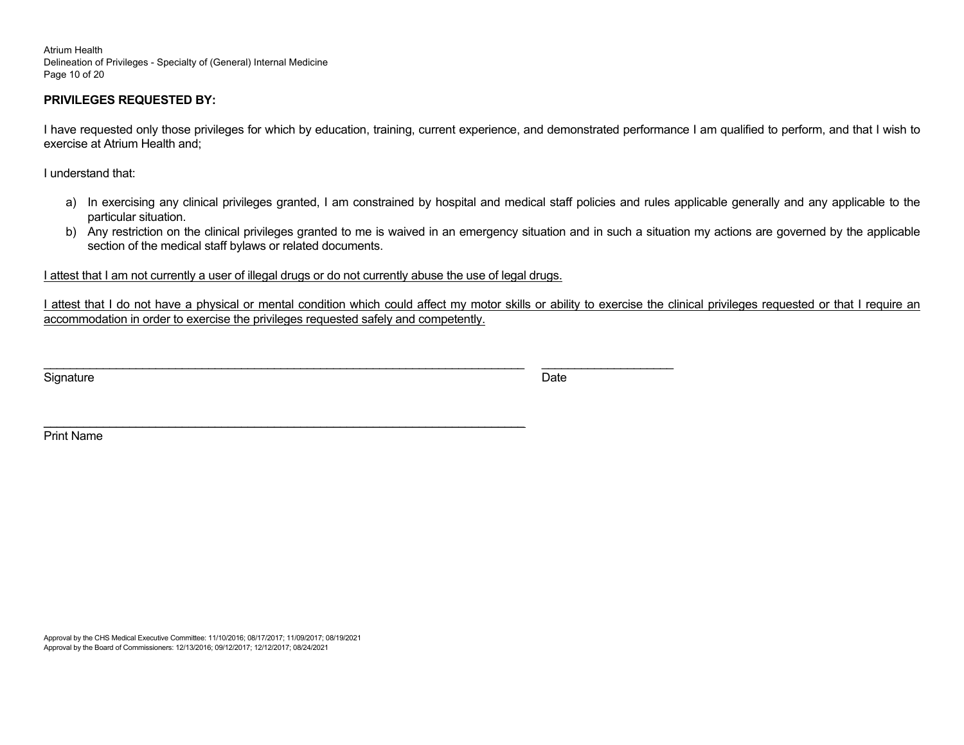Atrium Health Delineation of Privileges - Specialty of (General) Internal Medicine Page 10 of 20

## **PRIVILEGES REQUESTED BY:**

I have requested only those privileges for which by education, training, current experience, and demonstrated performance I am qualified to perform, and that I wish to exercise at Atrium Health and;

I understand that:

- a) In exercising any clinical privileges granted, I am constrained by hospital and medical staff policies and rules applicable generally and any applicable to the particular situation.
- b) Any restriction on the clinical privileges granted to me is waived in an emergency situation and in such a situation my actions are governed by the applicable section of the medical staff bylaws or related documents.

I attest that I am not currently a user of illegal drugs or do not currently abuse the use of legal drugs.

 $\_$ 

I attest that I do not have a physical or mental condition which could affect my motor skills or ability to exercise the clinical privileges requested or that I require an accommodation in order to exercise the privileges requested safely and competently.

Signature Date of the Date of the Signature Date of the Date of the Date of the Date of the Date of the Date o

Print Name

Approval by the CHS Medical Executive Committee: 11/10/2016; 08/17/2017; 11/09/2017; 08/19/2021 Approval by the Board of Commissioners: 12/13/2016; 09/12/2017; 12/12/2017; 08/24/2021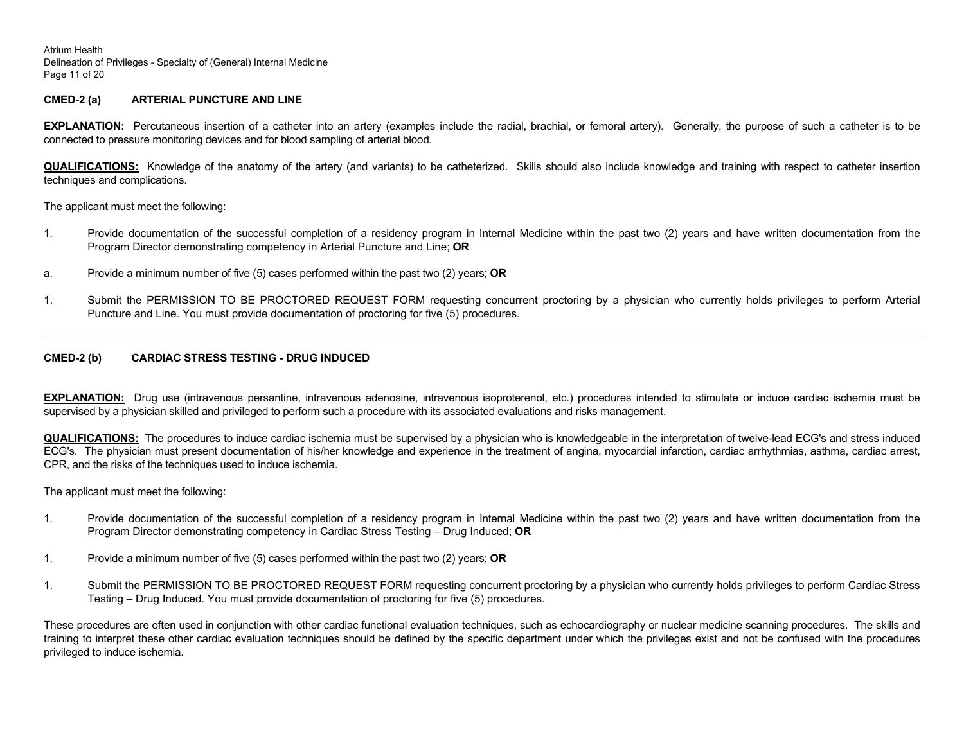Atrium Health Delineation of Privileges - Specialty of (General) Internal Medicine Page 11 of 20

#### **CMED-2 (a) ARTERIAL PUNCTURE AND LINE**

**EXPLANATION:** Percutaneous insertion of a catheter into an artery (examples include the radial, brachial, or femoral artery). Generally, the purpose of such a catheter is to be connected to pressure monitoring devices and for blood sampling of arterial blood.

**QUALIFICATIONS:** Knowledge of the anatomy of the artery (and variants) to be catheterized. Skills should also include knowledge and training with respect to catheter insertion techniques and complications.

The applicant must meet the following:

- 1. Provide documentation of the successful completion of a residency program in Internal Medicine within the past two (2) years and have written documentation from the Program Director demonstrating competency in Arterial Puncture and Line; **OR**
- a. Provide a minimum number of five (5) cases performed within the past two (2) years; **OR**
- 1. Submit the PERMISSION TO BE PROCTORED REQUEST FORM requesting concurrent proctoring by a physician who currently holds privileges to perform Arterial Puncture and Line. You must provide documentation of proctoring for five (5) procedures.

#### **CMED-2 (b) CARDIAC STRESS TESTING - DRUG INDUCED**

**EXPLANATION:** Drug use (intravenous persantine, intravenous adenosine, intravenous isoproterenol, etc.) procedures intended to stimulate or induce cardiac ischemia must be supervised by a physician skilled and privileged to perform such a procedure with its associated evaluations and risks management.

**QUALIFICATIONS:** The procedures to induce cardiac ischemia must be supervised by a physician who is knowledgeable in the interpretation of twelve-lead ECG's and stress induced ECG's. The physician must present documentation of his/her knowledge and experience in the treatment of angina, myocardial infarction, cardiac arrhythmias, asthma, cardiac arrest, CPR, and the risks of the techniques used to induce ischemia.

The applicant must meet the following:

- 1. Provide documentation of the successful completion of a residency program in Internal Medicine within the past two (2) years and have written documentation from the Program Director demonstrating competency in Cardiac Stress Testing – Drug Induced; **OR**
- 1. Provide a minimum number of five (5) cases performed within the past two (2) years; **OR**
- 1. Submit the PERMISSION TO BE PROCTORED REQUEST FORM requesting concurrent proctoring by a physician who currently holds privileges to perform Cardiac Stress Testing – Drug Induced. You must provide documentation of proctoring for five (5) procedures.

These procedures are often used in conjunction with other cardiac functional evaluation techniques, such as echocardiography or nuclear medicine scanning procedures. The skills and training to interpret these other cardiac evaluation techniques should be defined by the specific department under which the privileges exist and not be confused with the procedures privileged to induce ischemia.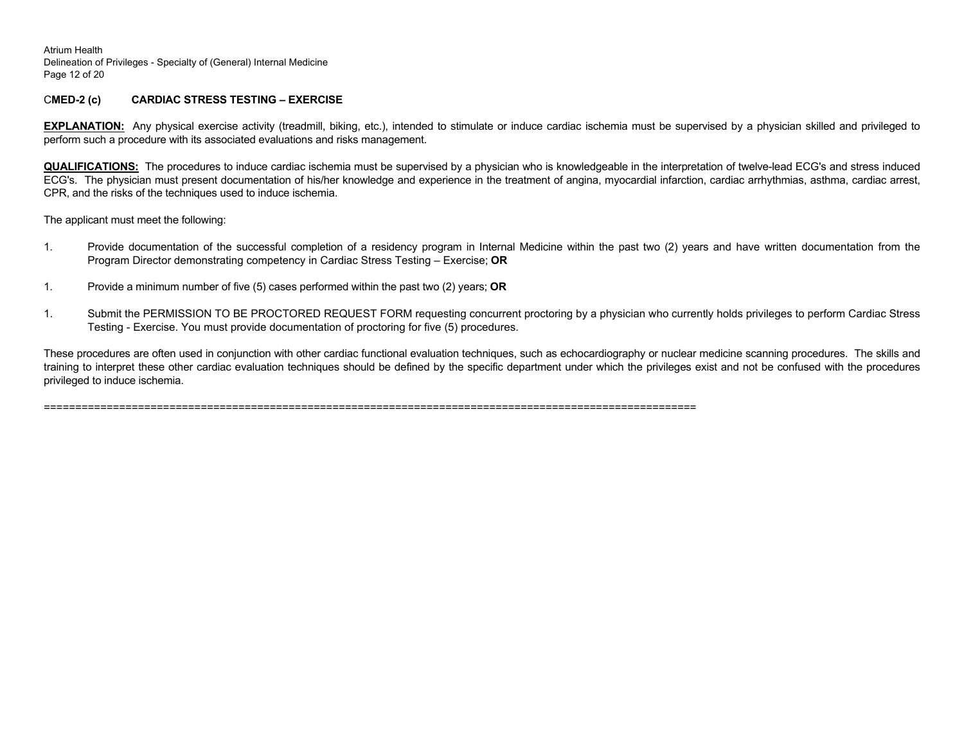Atrium Health Delineation of Privileges - Specialty of (General) Internal Medicine Page 12 of 20

#### C**MED-2 (c) CARDIAC STRESS TESTING – EXERCISE**

**EXPLANATION:** Any physical exercise activity (treadmill, biking, etc.), intended to stimulate or induce cardiac ischemia must be supervised by a physician skilled and privileged to perform such a procedure with its associated evaluations and risks management.

**QUALIFICATIONS:** The procedures to induce cardiac ischemia must be supervised by a physician who is knowledgeable in the interpretation of twelve-lead ECG's and stress induced ECG's. The physician must present documentation of his/her knowledge and experience in the treatment of angina, myocardial infarction, cardiac arrhythmias, asthma, cardiac arrest, CPR, and the risks of the techniques used to induce ischemia.

The applicant must meet the following:

- 1. Provide documentation of the successful completion of a residency program in Internal Medicine within the past two (2) years and have written documentation from the Program Director demonstrating competency in Cardiac Stress Testing – Exercise; **OR**
- 1. Provide a minimum number of five (5) cases performed within the past two (2) years; **OR**
- 1. Submit the PERMISSION TO BE PROCTORED REQUEST FORM requesting concurrent proctoring by a physician who currently holds privileges to perform Cardiac Stress Testing - Exercise. You must provide documentation of proctoring for five (5) procedures.

These procedures are often used in conjunction with other cardiac functional evaluation techniques, such as echocardiography or nuclear medicine scanning procedures. The skills and training to interpret these other cardiac evaluation techniques should be defined by the specific department under which the privileges exist and not be confused with the procedures privileged to induce ischemia.

========================================================================================================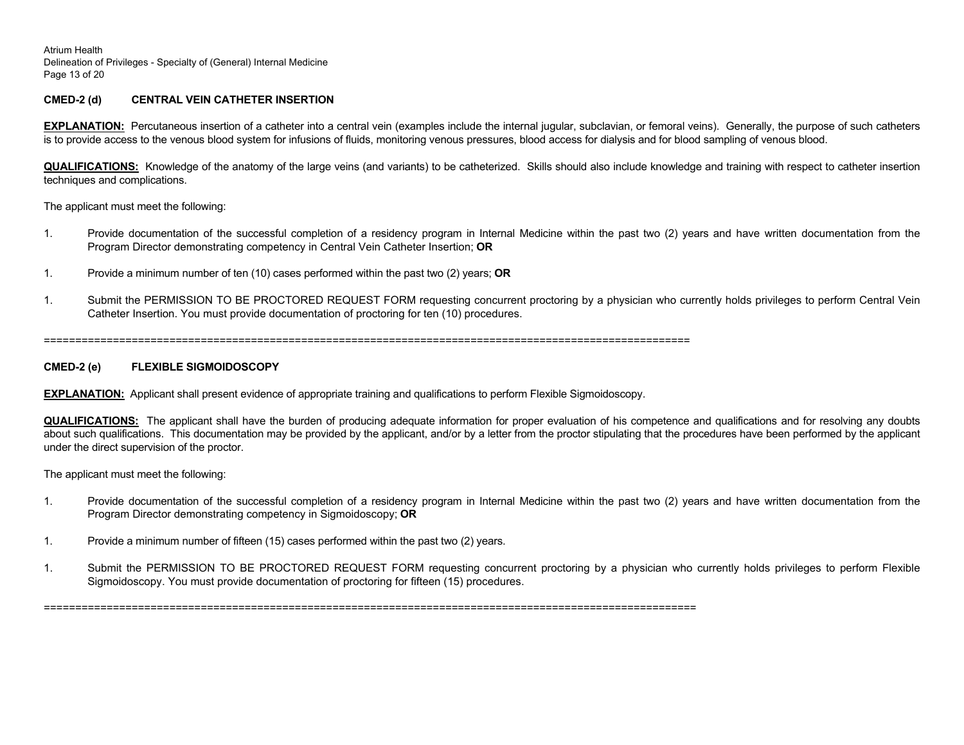Atrium Health Delineation of Privileges - Specialty of (General) Internal Medicine Page 13 of 20

## **CMED-2 (d) CENTRAL VEIN CATHETER INSERTION**

**EXPLANATION:** Percutaneous insertion of a catheter into a central vein (examples include the internal jugular, subclavian, or femoral veins). Generally, the purpose of such catheters is to provide access to the venous blood system for infusions of fluids, monitoring venous pressures, blood access for dialysis and for blood sampling of venous blood.

**QUALIFICATIONS:** Knowledge of the anatomy of the large veins (and variants) to be catheterized. Skills should also include knowledge and training with respect to catheter insertion techniques and complications.

The applicant must meet the following:

- 1. Provide documentation of the successful completion of a residency program in Internal Medicine within the past two (2) years and have written documentation from the Program Director demonstrating competency in Central Vein Catheter Insertion; **OR**
- 1. Provide a minimum number of ten (10) cases performed within the past two (2) years; **OR**
- 1. Submit the PERMISSION TO BE PROCTORED REQUEST FORM requesting concurrent proctoring by a physician who currently holds privileges to perform Central Vein Catheter Insertion. You must provide documentation of proctoring for ten (10) procedures.

=======================================================================================================

#### **CMED-2 (e) FLEXIBLE SIGMOIDOSCOPY**

**EXPLANATION:** Applicant shall present evidence of appropriate training and qualifications to perform Flexible Sigmoidoscopy.

**QUALIFICATIONS:** The applicant shall have the burden of producing adequate information for proper evaluation of his competence and qualifications and for resolving any doubts about such qualifications. This documentation may be provided by the applicant, and/or by a letter from the proctor stipulating that the procedures have been performed by the applicant under the direct supervision of the proctor.

The applicant must meet the following:

- 1. Provide documentation of the successful completion of a residency program in Internal Medicine within the past two (2) years and have written documentation from the Program Director demonstrating competency in Sigmoidoscopy; **OR**
- 1. Provide a minimum number of fifteen (15) cases performed within the past two (2) years.
- 1. Submit the PERMISSION TO BE PROCTORED REQUEST FORM requesting concurrent proctoring by a physician who currently holds privileges to perform Flexible Sigmoidoscopy. You must provide documentation of proctoring for fifteen (15) procedures.

========================================================================================================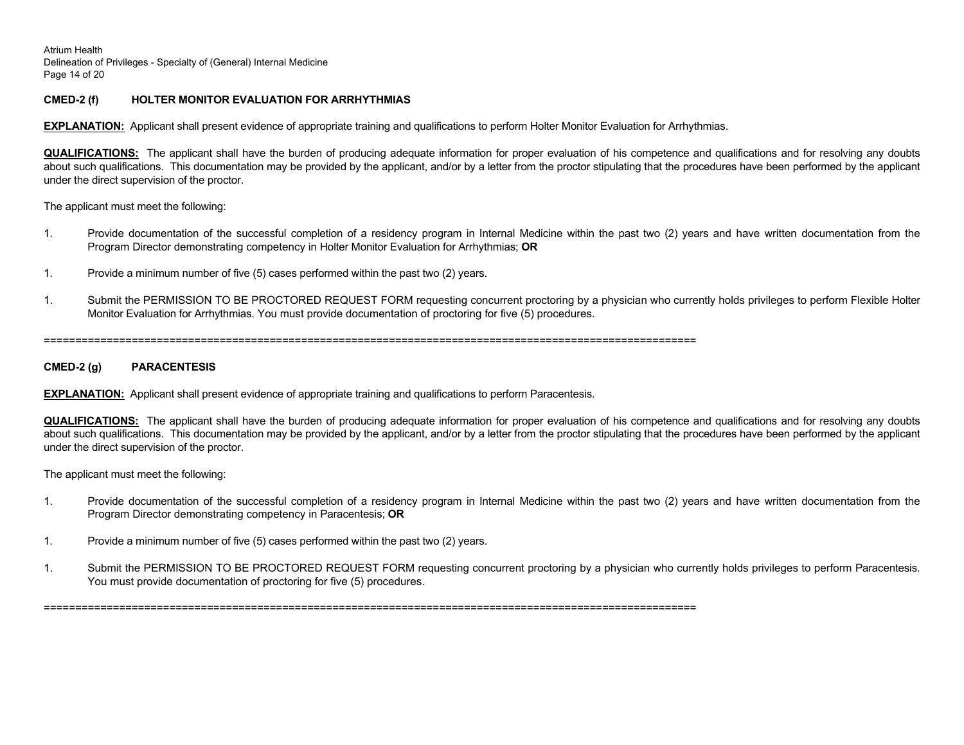Atrium Health Delineation of Privileges - Specialty of (General) Internal Medicine Page 14 of 20

## **CMED-2 (f) HOLTER MONITOR EVALUATION FOR ARRHYTHMIAS**

**EXPLANATION:** Applicant shall present evidence of appropriate training and qualifications to perform Holter Monitor Evaluation for Arrhythmias.

**QUALIFICATIONS:** The applicant shall have the burden of producing adequate information for proper evaluation of his competence and qualifications and for resolving any doubts about such qualifications. This documentation may be provided by the applicant, and/or by a letter from the proctor stipulating that the procedures have been performed by the applicant under the direct supervision of the proctor.

The applicant must meet the following:

- 1. Provide documentation of the successful completion of a residency program in Internal Medicine within the past two (2) years and have written documentation from the Program Director demonstrating competency in Holter Monitor Evaluation for Arrhythmias; **OR**
- 1. Provide a minimum number of five (5) cases performed within the past two (2) years.
- 1. Submit the PERMISSION TO BE PROCTORED REQUEST FORM requesting concurrent proctoring by a physician who currently holds privileges to perform Flexible Holter Monitor Evaluation for Arrhythmias. You must provide documentation of proctoring for five (5) procedures.

========================================================================================================

#### **CMED-2 (g) PARACENTESIS**

**EXPLANATION:** Applicant shall present evidence of appropriate training and qualifications to perform Paracentesis.

**QUALIFICATIONS:** The applicant shall have the burden of producing adequate information for proper evaluation of his competence and qualifications and for resolving any doubts about such qualifications. This documentation may be provided by the applicant, and/or by a letter from the proctor stipulating that the procedures have been performed by the applicant under the direct supervision of the proctor.

The applicant must meet the following:

- 1. Provide documentation of the successful completion of a residency program in Internal Medicine within the past two (2) years and have written documentation from the Program Director demonstrating competency in Paracentesis; **OR**
- 1. Provide a minimum number of five (5) cases performed within the past two (2) years.
- 1. Submit the PERMISSION TO BE PROCTORED REQUEST FORM requesting concurrent proctoring by a physician who currently holds privileges to perform Paracentesis. You must provide documentation of proctoring for five (5) procedures.

========================================================================================================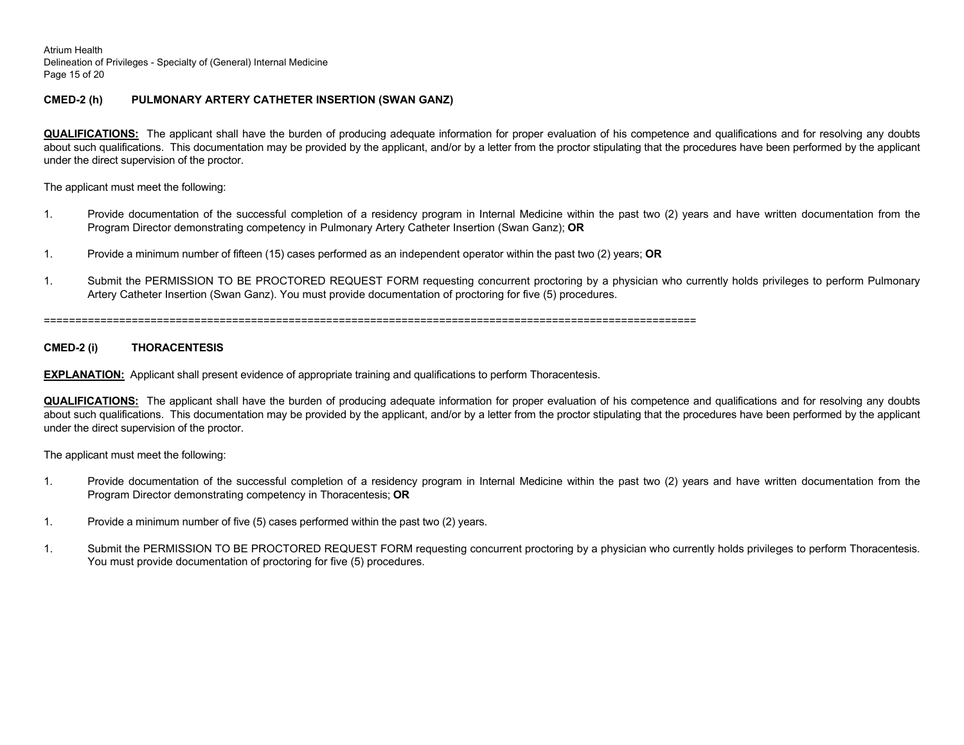Atrium Health Delineation of Privileges - Specialty of (General) Internal Medicine Page 15 of 20

## **CMED-2 (h) PULMONARY ARTERY CATHETER INSERTION (SWAN GANZ)**

**QUALIFICATIONS:** The applicant shall have the burden of producing adequate information for proper evaluation of his competence and qualifications and for resolving any doubts about such qualifications. This documentation may be provided by the applicant, and/or by a letter from the proctor stipulating that the procedures have been performed by the applicant under the direct supervision of the proctor.

The applicant must meet the following:

- 1. Provide documentation of the successful completion of a residency program in Internal Medicine within the past two (2) years and have written documentation from the Program Director demonstrating competency in Pulmonary Artery Catheter Insertion (Swan Ganz); **OR**
- 1. Provide a minimum number of fifteen (15) cases performed as an independent operator within the past two (2) years; **OR**
- 1. Submit the PERMISSION TO BE PROCTORED REQUEST FORM requesting concurrent proctoring by a physician who currently holds privileges to perform Pulmonary Artery Catheter Insertion (Swan Ganz). You must provide documentation of proctoring for five (5) procedures.

========================================================================================================

#### **CMED-2 (i) THORACENTESIS**

**EXPLANATION:** Applicant shall present evidence of appropriate training and qualifications to perform Thoracentesis.

**QUALIFICATIONS:** The applicant shall have the burden of producing adequate information for proper evaluation of his competence and qualifications and for resolving any doubts about such qualifications. This documentation may be provided by the applicant, and/or by a letter from the proctor stipulating that the procedures have been performed by the applicant under the direct supervision of the proctor.

The applicant must meet the following:

- 1. Provide documentation of the successful completion of a residency program in Internal Medicine within the past two (2) years and have written documentation from the Program Director demonstrating competency in Thoracentesis; **OR**
- 1. Provide a minimum number of five (5) cases performed within the past two (2) years.
- 1. Submit the PERMISSION TO BE PROCTORED REQUEST FORM requesting concurrent proctoring by a physician who currently holds privileges to perform Thoracentesis. You must provide documentation of proctoring for five (5) procedures.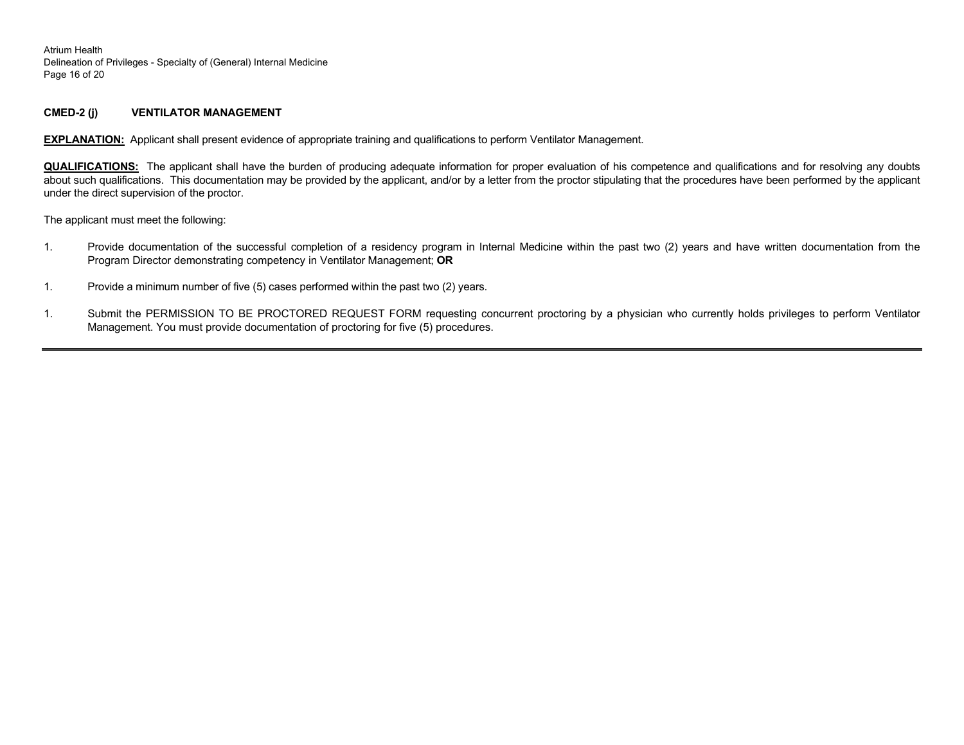Atrium Health Delineation of Privileges - Specialty of (General) Internal Medicine Page 16 of 20

#### **CMED-2 (j) VENTILATOR MANAGEMENT**

**EXPLANATION:** Applicant shall present evidence of appropriate training and qualifications to perform Ventilator Management.

**QUALIFICATIONS:** The applicant shall have the burden of producing adequate information for proper evaluation of his competence and qualifications and for resolving any doubts about such qualifications. This documentation may be provided by the applicant, and/or by a letter from the proctor stipulating that the procedures have been performed by the applicant under the direct supervision of the proctor.

The applicant must meet the following:

- 1. Provide documentation of the successful completion of a residency program in Internal Medicine within the past two (2) years and have written documentation from the Program Director demonstrating competency in Ventilator Management; **OR**
- 1. Provide a minimum number of five (5) cases performed within the past two (2) years.
- 1. Submit the PERMISSION TO BE PROCTORED REQUEST FORM requesting concurrent proctoring by a physician who currently holds privileges to perform Ventilator Management. You must provide documentation of proctoring for five (5) procedures.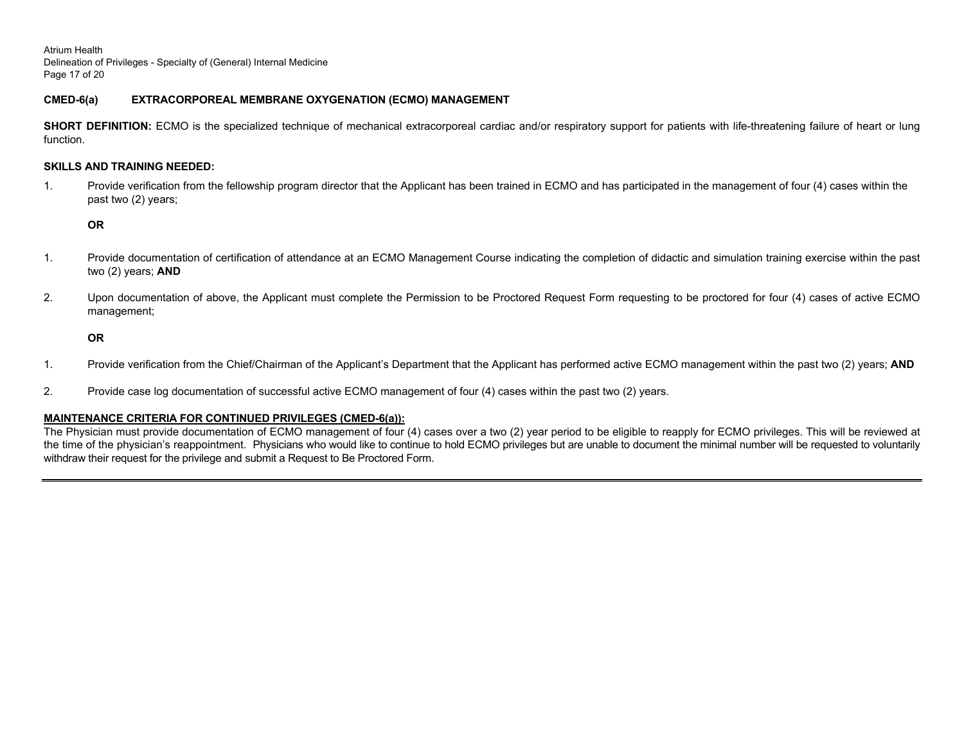Atrium Health Delineation of Privileges - Specialty of (General) Internal Medicine Page 17 of 20

## **CMED-6(a) EXTRACORPOREAL MEMBRANE OXYGENATION (ECMO) MANAGEMENT**

**SHORT DEFINITION:** ECMO is the specialized technique of mechanical extracorporeal cardiac and/or respiratory support for patients with life-threatening failure of heart or lung function.

#### **SKILLS AND TRAINING NEEDED:**

1. Provide verification from the fellowship program director that the Applicant has been trained in ECMO and has participated in the management of four (4) cases within the past two (2) years;

## **OR**

- 1. Provide documentation of certification of attendance at an ECMO Management Course indicating the completion of didactic and simulation training exercise within the past two (2) years; **AND**
- 2. Upon documentation of above, the Applicant must complete the Permission to be Proctored Request Form requesting to be proctored for four (4) cases of active ECMO management;

## **OR**

- 1. Provide verification from the Chief/Chairman of the Applicant's Department that the Applicant has performed active ECMO management within the past two (2) years; **AND**
- 2. Provide case log documentation of successful active ECMO management of four (4) cases within the past two (2) years.

## **MAINTENANCE CRITERIA FOR CONTINUED PRIVILEGES (CMED-6(a)):**

The Physician must provide documentation of ECMO management of four (4) cases over a two (2) year period to be eligible to reapply for ECMO privileges. This will be reviewed at the time of the physician's reappointment. Physicians who would like to continue to hold ECMO privileges but are unable to document the minimal number will be requested to voluntarily withdraw their request for the privilege and submit a Request to Be Proctored Form.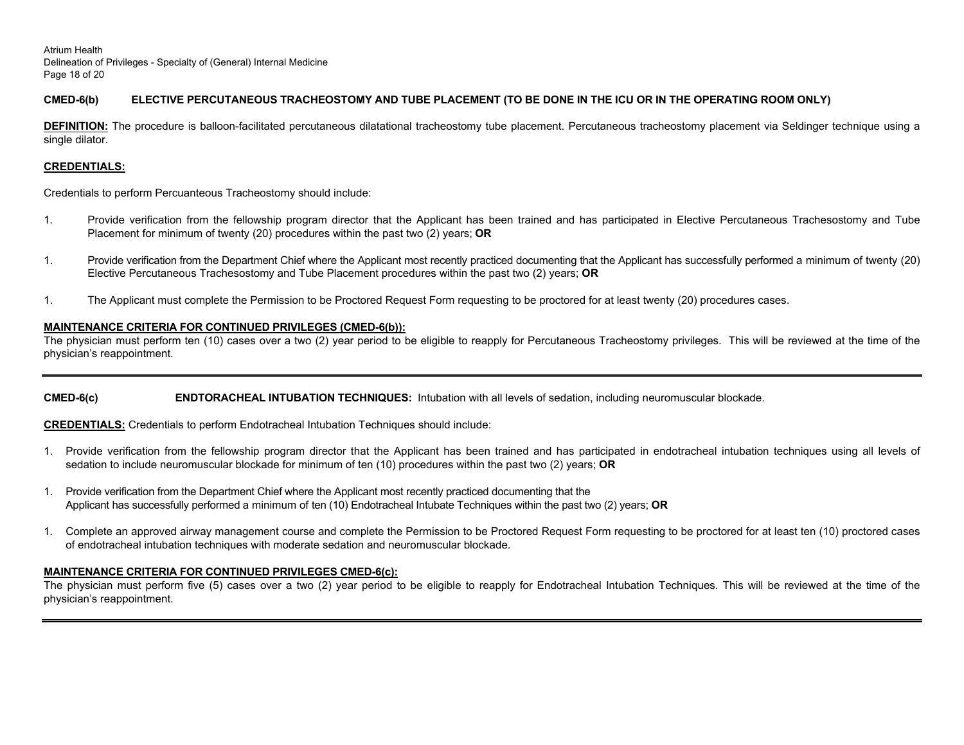Atrium Health Delineation of Privileges - Specialty of (General) Internal Medicine Page 18 of 20

## **CMED-6(b) ELECTIVE PERCUTANEOUS TRACHEOSTOMY AND TUBE PLACEMENT (TO BE DONE IN THE ICU OR IN THE OPERATING ROOM ONLY)**

**DEFINITION:** The procedure is balloon-facilitated percutaneous dilatational tracheostomy tube placement. Percutaneous tracheostomy placement via Seldinger technique using a single dilator.

## **CREDENTIALS:**

Credentials to perform Percuanteous Tracheostomy should include:

- 1. Provide verification from the fellowship program director that the Applicant has been trained and has participated in Elective Percutaneous Trachesostomy and Tube Placement for minimum of twenty (20) procedures within the past two (2) years; **OR**
- 1. Provide verification from the Department Chief where the Applicant most recently practiced documenting that the Applicant has successfully performed a minimum of twenty (20) Elective Percutaneous Trachesostomy and Tube Placement procedures within the past two (2) years; **OR**
- 1. The Applicant must complete the Permission to be Proctored Request Form requesting to be proctored for at least twenty (20) procedures cases.

## **MAINTENANCE CRITERIA FOR CONTINUED PRIVILEGES (CMED-6(b)):**

The physician must perform ten (10) cases over a two (2) year period to be eligible to reapply for Percutaneous Tracheostomy privileges. This will be reviewed at the time of the physician's reappointment.

## **CMED-6(c) ENDTORACHEAL INTUBATION TECHNIQUES:** Intubation with all levels of sedation, including neuromuscular blockade.

**CREDENTIALS:** Credentials to perform Endotracheal Intubation Techniques should include:

- 1. Provide verification from the fellowship program director that the Applicant has been trained and has participated in endotracheal intubation techniques using all levels of sedation to include neuromuscular blockade for minimum of ten (10) procedures within the past two (2) years; **OR**
- 1. Provide verification from the Department Chief where the Applicant most recently practiced documenting that the Applicant has successfully performed a minimum of ten (10) Endotracheal Intubate Techniques within the past two (2) years; **OR**
- 1. Complete an approved airway management course and complete the Permission to be Proctored Request Form requesting to be proctored for at least ten (10) proctored cases of endotracheal intubation techniques with moderate sedation and neuromuscular blockade.

## **MAINTENANCE CRITERIA FOR CONTINUED PRIVILEGES CMED-6(c):**

The physician must perform five (5) cases over a two (2) year period to be eligible to reapply for Endotracheal Intubation Techniques. This will be reviewed at the time of the physician's reappointment.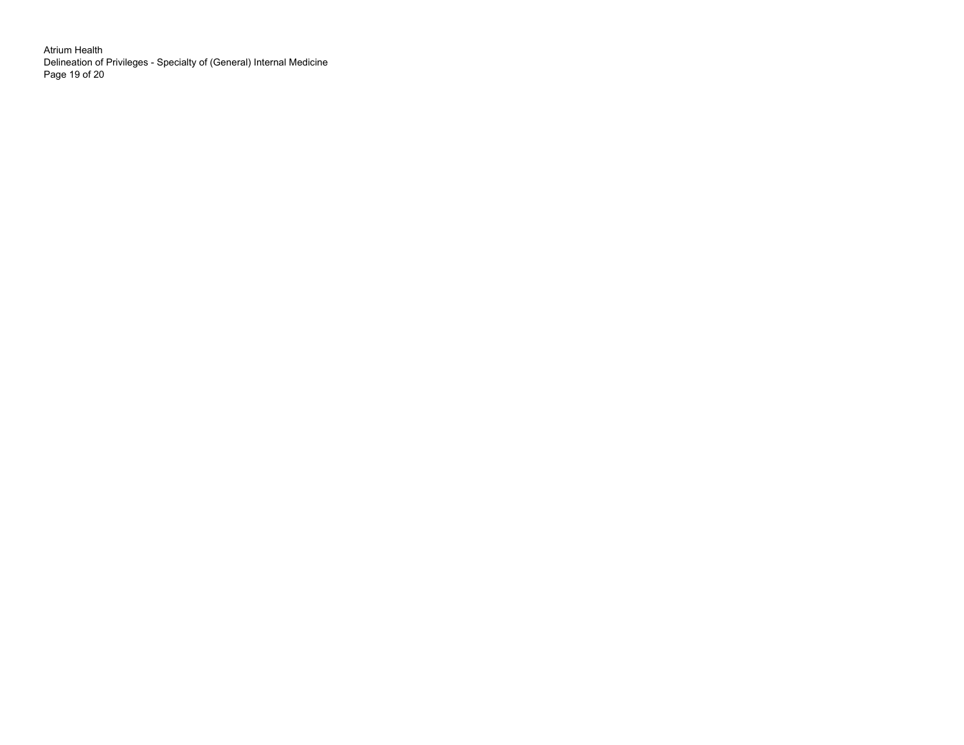Atrium Health Delineation of Privileges - Specialty of (General) Internal Medicine Page 19 of 20